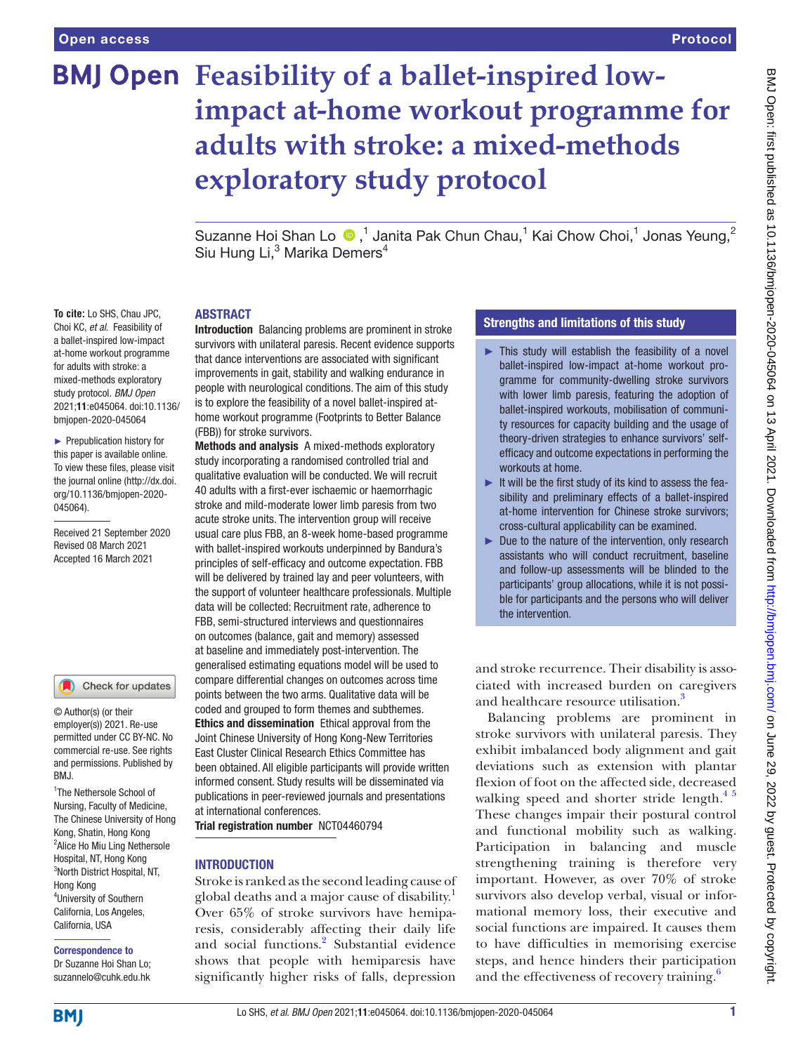# **BMJ Open** Feasibility of a ballet-inspired low**impact at-home workout programme for adults with stroke: a mixed-methods exploratory study protocol**

SuzanneHoi Shan Lo  $\bigcirc$ ,<sup>1</sup> Janita Pak Chun Chau,<sup>1</sup> Kai Chow Choi,<sup>1</sup> Jonas Yeung,<sup>2</sup> Siu Hung Li,<sup>3</sup> Marika Demers<sup>4</sup>

## **ABSTRACT**

Introduction Balancing problems are prominent in stroke survivors with unilateral paresis. Recent evidence supports that dance interventions are associated with significant improvements in gait, stability and walking endurance in people with neurological conditions. The aim of this study is to explore the feasibility of a novel ballet-inspired athome workout programme (Footprints to Better Balance (FBB)) for stroke survivors.

Methods and analysis A mixed-methods exploratory study incorporating a randomised controlled trial and qualitative evaluation will be conducted. We will recruit 40 adults with a first-ever ischaemic or haemorrhagic stroke and mild-moderate lower limb paresis from two acute stroke units. The intervention group will receive usual care plus FBB, an 8-week home-based programme with ballet-inspired workouts underpinned by Bandura's principles of self-efficacy and outcome expectation. FBB will be delivered by trained lay and peer volunteers, with the support of volunteer healthcare professionals. Multiple data will be collected: Recruitment rate, adherence to FBB, semi-structured interviews and questionnaires on outcomes (balance, gait and memory) assessed at baseline and immediately post-intervention. The generalised estimating equations model will be used to compare differential changes on outcomes across time points between the two arms. Qualitative data will be coded and grouped to form themes and subthemes. Ethics and dissemination Ethical approval from the Joint Chinese University of Hong Kong-New Territories East Cluster Clinical Research Ethics Committee has been obtained. All eligible participants will provide written informed consent. Study results will be disseminated via publications in peer-reviewed journals and presentations at international conferences.

Trial registration number <NCT04460794>

#### **INTRODUCTION**

Stroke is ranked as the second leading cause of global deaths and a major cause of disability.<sup>[1](#page-5-0)</sup> Over 65% of stroke survivors have hemiparesis, considerably affecting their daily life and social functions.<sup>[2](#page-5-1)</sup> Substantial evidence shows that people with hemiparesis have significantly higher risks of falls, depression

### Strengths and limitations of this study

- $\blacktriangleright$  This study will establish the feasibility of a novel ballet-inspired low-impact at-home workout programme for community-dwelling stroke survivors with lower limb paresis, featuring the adoption of ballet-inspired workouts, mobilisation of community resources for capacity building and the usage of theory-driven strategies to enhance survivors' selfefficacy and outcome expectations in performing the workouts at home.
- ► It will be the first study of its kind to assess the feasibility and preliminary effects of a ballet-inspired at-home intervention for Chinese stroke survivors; cross-cultural applicability can be examined.
- ► Due to the nature of the intervention, only research assistants who will conduct recruitment, baseline and follow-up assessments will be blinded to the participants' group allocations, while it is not possible for participants and the persons who will deliver the intervention.

and stroke recurrence. Their disability is associated with increased burden on caregivers and healthcare resource utilisation.<sup>[3](#page-5-2)</sup>

Balancing problems are prominent in stroke survivors with unilateral paresis. They exhibit imbalanced body alignment and gait deviations such as extension with plantar flexion of foot on the affected side, decreased walking speed and shorter stride length. $45$ These changes impair their postural control and functional mobility such as walking. Participation in balancing and muscle strengthening training is therefore very important. However, as over 70% of stroke survivors also develop verbal, visual or informational memory loss, their executive and social functions are impaired. It causes them to have difficulties in memorising exercise steps, and hence hinders their participation and the effectiveness of recovery training.<sup>[6](#page-5-4)</sup>

**To cite:** Lo SHS, Chau JPC, Choi KC, *et al*. Feasibility of a ballet-inspired low-impact at-home workout programme for adults with stroke: a mixed-methods exploratory study protocol. *BMJ Open* 2021;11:e045064. doi:10.1136/ bmjopen-2020-045064

► Prepublication history for this paper is available online. To view these files, please visit the journal online (http://dx.doi. org/10.1136/bmjopen-2020- 045064).

Received 21 September 2020 Revised 08 March 2021 Accepted 16 March 2021

#### Check for updates

© Author(s) (or their employer(s)) 2021. Re-use permitted under CC BY-NC. No commercial re-use. See rights and permissions. Published by BMJ.

<sup>1</sup>The Nethersole School of Nursing, Faculty of Medicine, The Chinese University of Hong Kong, Shatin, Hong Kong <sup>2</sup> Alice Ho Miu Ling Nethersole Hospital, NT, Hong Kong 3 North District Hospital, NT, Hong Kong 4 University of Southern California, Los Angeles, California, USA

# Correspondence to

Dr Suzanne Hoi Shan Lo; suzannelo@cuhk.edu.hk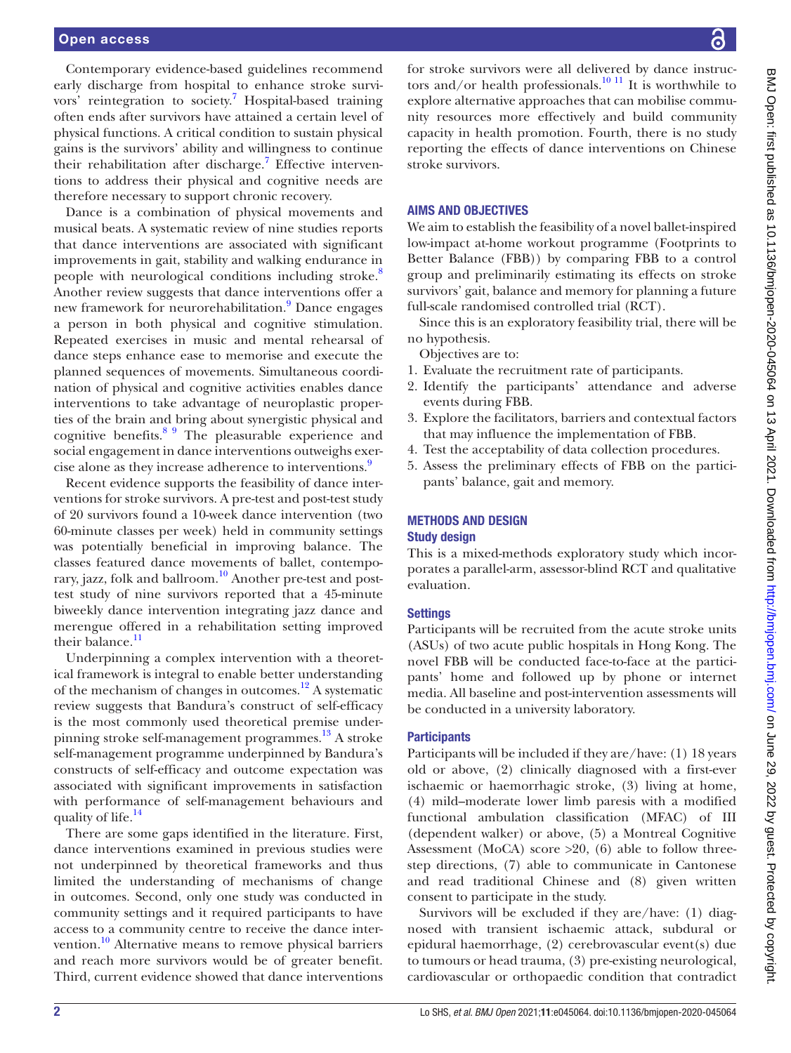#### Open access

Contemporary evidence-based guidelines recommend early discharge from hospital to enhance stroke survi-vors' reintegration to society.<sup>[7](#page-5-5)</sup> Hospital-based training often ends after survivors have attained a certain level of physical functions. A critical condition to sustain physical gains is the survivors' ability and willingness to continue their rehabilitation after discharge.<sup>7</sup> Effective interventions to address their physical and cognitive needs are therefore necessary to support chronic recovery.

Dance is a combination of physical movements and musical beats. A systematic review of nine studies reports that dance interventions are associated with significant improvements in gait, stability and walking endurance in people with neurological conditions including stroke.<sup>[8](#page-5-6)</sup> Another review suggests that dance interventions offer a new framework for neurorehabilitation.<sup>[9](#page-5-7)</sup> Dance engages a person in both physical and cognitive stimulation. Repeated exercises in music and mental rehearsal of dance steps enhance ease to memorise and execute the planned sequences of movements. Simultaneous coordination of physical and cognitive activities enables dance interventions to take advantage of neuroplastic properties of the brain and bring about synergistic physical and cognitive benefits.[8 9](#page-5-6) The pleasurable experience and social engagement in dance interventions outweighs exer-cise alone as they increase adherence to interventions.<sup>[9](#page-5-7)</sup>

Recent evidence supports the feasibility of dance interventions for stroke survivors. A pre-test and post-test study of 20 survivors found a 10-week dance intervention (two 60-minute classes per week) held in community settings was potentially beneficial in improving balance. The classes featured dance movements of ballet, contemporary, jazz, folk and ballroom.<sup>10</sup> Another pre-test and posttest study of nine survivors reported that a 45-minute biweekly dance intervention integrating jazz dance and merengue offered in a rehabilitation setting improved their balance.<sup>[11](#page-5-9)</sup>

Underpinning a complex intervention with a theoretical framework is integral to enable better understanding of the mechanism of changes in outcomes.<sup>12</sup> A systematic review suggests that Bandura's construct of self-efficacy is the most commonly used theoretical premise underpinning stroke self-management programmes.<sup>13</sup> A stroke self-management programme underpinned by Bandura's constructs of self-efficacy and outcome expectation was associated with significant improvements in satisfaction with performance of self-management behaviours and quality of life.<sup>14</sup>

There are some gaps identified in the literature. First, dance interventions examined in previous studies were not underpinned by theoretical frameworks and thus limited the understanding of mechanisms of change in outcomes. Second, only one study was conducted in community settings and it required participants to have access to a community centre to receive the dance intervention.<sup>10</sup> Alternative means to remove physical barriers and reach more survivors would be of greater benefit. Third, current evidence showed that dance interventions

for stroke survivors were all delivered by dance instructors and/or health professionals.<sup>10 11</sup> It is worthwhile to explore alternative approaches that can mobilise community resources more effectively and build community capacity in health promotion. Fourth, there is no study reporting the effects of dance interventions on Chinese stroke survivors.

#### AIMS AND OBJECTIVES

We aim to establish the feasibility of a novel ballet-inspired low-impact at-home workout programme (Footprints to Better Balance (FBB)) by comparing FBB to a control group and preliminarily estimating its effects on stroke survivors' gait, balance and memory for planning a future full-scale randomised controlled trial (RCT).

Since this is an exploratory feasibility trial, there will be no hypothesis.

Objectives are to:

- 1. Evaluate the recruitment rate of participants.
- 2. Identify the participants' attendance and adverse events during FBB.
- 3. Explore the facilitators, barriers and contextual factors that may influence the implementation of FBB.
- 4. Test the acceptability of data collection procedures.
- 5. Assess the preliminary effects of FBB on the participants' balance, gait and memory.

# METHODS AND DESIGN

## Study design

This is a mixed-methods exploratory study which incorporates a parallel-arm, assessor-blind RCT and qualitative evaluation.

#### **Settings**

Participants will be recruited from the acute stroke units (ASUs) of two acute public hospitals in Hong Kong. The novel FBB will be conducted face-to-face at the participants' home and followed up by phone or internet media. All baseline and post-intervention assessments will be conducted in a university laboratory.

#### **Participants**

Participants will be included if they are/have: (1) 18 years old or above, (2) clinically diagnosed with a first-ever ischaemic or haemorrhagic stroke, (3) living at home, (4) mild–moderate lower limb paresis with a modified functional ambulation classification (MFAC) of III (dependent walker) or above, (5) a Montreal Cognitive Assessment (MoCA) score  $>20$ , (6) able to follow threestep directions, (7) able to communicate in Cantonese and read traditional Chinese and (8) given written consent to participate in the study.

Survivors will be excluded if they are/have: (1) diagnosed with transient ischaemic attack, subdural or epidural haemorrhage, (2) cerebrovascular event(s) due to tumours or head trauma, (3) pre-existing neurological, cardiovascular or orthopaedic condition that contradict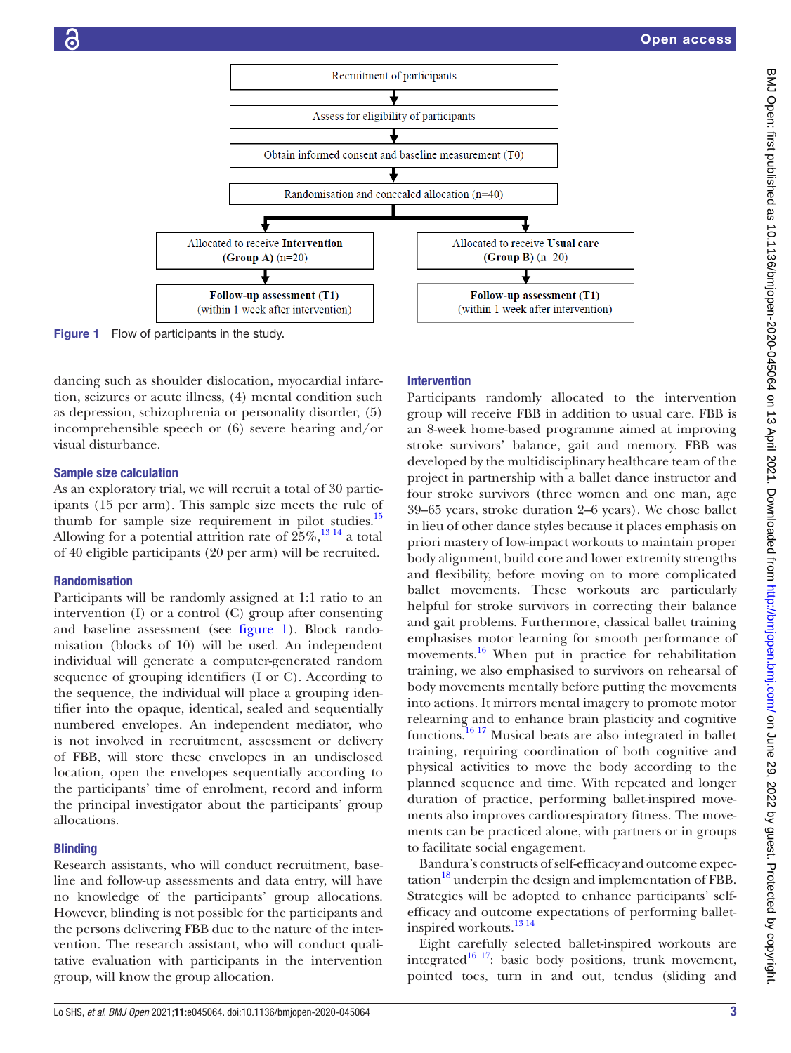

Figure 1 Flow of participants in the study.

dancing such as shoulder dislocation, myocardial infarction, seizures or acute illness, (4) mental condition such as depression, schizophrenia or personality disorder, (5) incomprehensible speech or (6) severe hearing and/or visual disturbance.

#### Sample size calculation

As an exploratory trial, we will recruit a total of 30 participants (15 per arm). This sample size meets the rule of thumb for sample size requirement in pilot studies.<sup>15</sup> Allowing for a potential attrition rate of  $25\%$ ,  $^{13}$ ,  $^{14}$  a total of 40 eligible participants (20 per arm) will be recruited.

#### Randomisation

Participants will be randomly assigned at 1:1 ratio to an intervention (I) or a control (C) group after consenting and baseline assessment (see [figure](#page-2-0) 1). Block randomisation (blocks of 10) will be used. An independent individual will generate a computer-generated random sequence of grouping identifiers (I or C). According to the sequence, the individual will place a grouping identifier into the opaque, identical, sealed and sequentially numbered envelopes. An independent mediator, who is not involved in recruitment, assessment or delivery of FBB, will store these envelopes in an undisclosed location, open the envelopes sequentially according to the participants' time of enrolment, record and inform the principal investigator about the participants' group allocations.

#### **Blinding**

Research assistants, who will conduct recruitment, baseline and follow-up assessments and data entry, will have no knowledge of the participants' group allocations. However, blinding is not possible for the participants and the persons delivering FBB due to the nature of the intervention. The research assistant, who will conduct qualitative evaluation with participants in the intervention group, will know the group allocation.

#### <span id="page-2-0"></span>Intervention

Participants randomly allocated to the intervention group will receive FBB in addition to usual care. FBB is an 8-week home-based programme aimed at improving stroke survivors' balance, gait and memory. FBB was developed by the multidisciplinary healthcare team of the project in partnership with a ballet dance instructor and four stroke survivors (three women and one man, age 39–65 years, stroke duration 2–6 years). We chose ballet in lieu of other dance styles because it places emphasis on priori mastery of low-impact workouts to maintain proper body alignment, build core and lower extremity strengths and flexibility, before moving on to more complicated ballet movements. These workouts are particularly helpful for stroke survivors in correcting their balance and gait problems. Furthermore, classical ballet training emphasises motor learning for smooth performance of movements.<sup>16</sup> When put in practice for rehabilitation training, we also emphasised to survivors on rehearsal of body movements mentally before putting the movements into actions. It mirrors mental imagery to promote motor relearning and to enhance brain plasticity and cognitive functions[.16 17](#page-5-14) Musical beats are also integrated in ballet training, requiring coordination of both cognitive and physical activities to move the body according to the planned sequence and time. With repeated and longer duration of practice, performing ballet-inspired movements also improves cardiorespiratory fitness. The movements can be practiced alone, with partners or in groups to facilitate social engagement.

Bandura's constructs of self-efficacy and outcome expec- $\tau$  tation<sup>[18](#page-5-15)</sup> underpin the design and implementation of FBB. Strategies will be adopted to enhance participants' selfefficacy and outcome expectations of performing balletinspired workouts.<sup>13 14</sup>

Eight carefully selected ballet-inspired workouts are integrated $16$ <sup>17</sup>: basic body positions, trunk movement, pointed toes, turn in and out, tendus (sliding and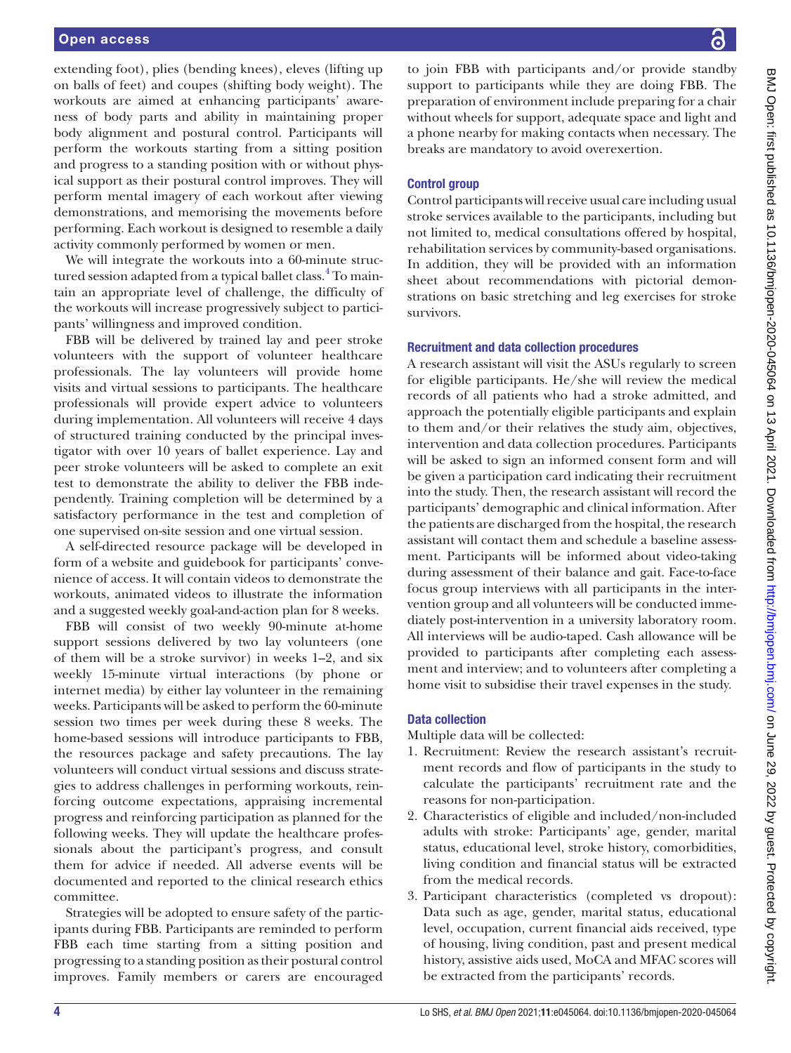extending foot), plies (bending knees), eleves (lifting up on balls of feet) and coupes (shifting body weight). The workouts are aimed at enhancing participants' awareness of body parts and ability in maintaining proper body alignment and postural control. Participants will perform the workouts starting from a sitting position and progress to a standing position with or without physical support as their postural control improves. They will perform mental imagery of each workout after viewing demonstrations, and memorising the movements before performing. Each workout is designed to resemble a daily activity commonly performed by women or men.

We will integrate the workouts into a 60-minute struc-tured session adapted from a typical ballet class.<sup>[4](#page-5-3)</sup> To maintain an appropriate level of challenge, the difficulty of the workouts will increase progressively subject to participants' willingness and improved condition.

FBB will be delivered by trained lay and peer stroke volunteers with the support of volunteer healthcare professionals. The lay volunteers will provide home visits and virtual sessions to participants. The healthcare professionals will provide expert advice to volunteers during implementation. All volunteers will receive 4 days of structured training conducted by the principal investigator with over 10 years of ballet experience. Lay and peer stroke volunteers will be asked to complete an exit test to demonstrate the ability to deliver the FBB independently. Training completion will be determined by a satisfactory performance in the test and completion of one supervised on-site session and one virtual session.

A self-directed resource package will be developed in form of a website and guidebook for participants' convenience of access. It will contain videos to demonstrate the workouts, animated videos to illustrate the information and a suggested weekly goal-and-action plan for 8 weeks.

FBB will consist of two weekly 90-minute at-home support sessions delivered by two lay volunteers (one of them will be a stroke survivor) in weeks 1–2, and six weekly 15-minute virtual interactions (by phone or internet media) by either lay volunteer in the remaining weeks. Participants will be asked to perform the 60-minute session two times per week during these 8 weeks. The home-based sessions will introduce participants to FBB, the resources package and safety precautions. The lay volunteers will conduct virtual sessions and discuss strategies to address challenges in performing workouts, reinforcing outcome expectations, appraising incremental progress and reinforcing participation as planned for the following weeks. They will update the healthcare professionals about the participant's progress, and consult them for advice if needed. All adverse events will be documented and reported to the clinical research ethics committee.

Strategies will be adopted to ensure safety of the participants during FBB. Participants are reminded to perform FBB each time starting from a sitting position and progressing to a standing position as their postural control improves. Family members or carers are encouraged

to join FBB with participants and/or provide standby support to participants while they are doing FBB. The preparation of environment include preparing for a chair without wheels for support, adequate space and light and a phone nearby for making contacts when necessary. The breaks are mandatory to avoid overexertion.

### Control group

Control participants will receive usual care including usual stroke services available to the participants, including but not limited to, medical consultations offered by hospital, rehabilitation services by community-based organisations. In addition, they will be provided with an information sheet about recommendations with pictorial demonstrations on basic stretching and leg exercises for stroke survivors.

#### Recruitment and data collection procedures

A research assistant will visit the ASUs regularly to screen for eligible participants. He/she will review the medical records of all patients who had a stroke admitted, and approach the potentially eligible participants and explain to them and/or their relatives the study aim, objectives, intervention and data collection procedures. Participants will be asked to sign an informed consent form and will be given a participation card indicating their recruitment into the study. Then, the research assistant will record the participants' demographic and clinical information. After the patients are discharged from the hospital, the research assistant will contact them and schedule a baseline assessment. Participants will be informed about video-taking during assessment of their balance and gait. Face-to-face focus group interviews with all participants in the intervention group and all volunteers will be conducted immediately post-intervention in a university laboratory room. All interviews will be audio-taped. Cash allowance will be provided to participants after completing each assessment and interview; and to volunteers after completing a home visit to subsidise their travel expenses in the study.

#### Data collection

Multiple data will be collected:

- 1. Recruitment: Review the research assistant's recruitment records and flow of participants in the study to calculate the participants' recruitment rate and the reasons for non-participation.
- 2. Characteristics of eligible and included/non-included adults with stroke: Participants' age, gender, marital status, educational level, stroke history, comorbidities, living condition and financial status will be extracted from the medical records.
- 3. Participant characteristics (completed vs dropout): Data such as age, gender, marital status, educational level, occupation, current financial aids received, type of housing, living condition, past and present medical history, assistive aids used, MoCA and MFAC scores will be extracted from the participants' records.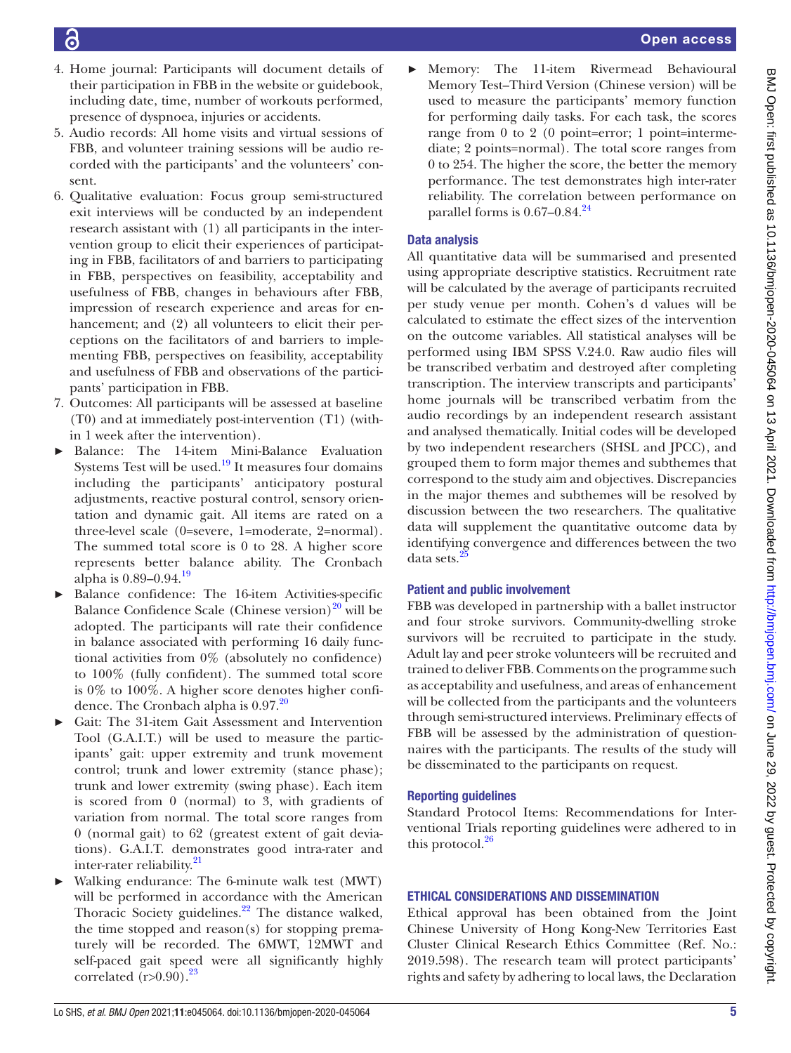- Õ
- 4. Home journal: Participants will document details of their participation in FBB in the website or guidebook, including date, time, number of workouts performed, presence of dyspnoea, injuries or accidents.
- 5. Audio records: All home visits and virtual sessions of FBB, and volunteer training sessions will be audio recorded with the participants' and the volunteers' consent.
- 6. Qualitative evaluation: Focus group semi-structured exit interviews will be conducted by an independent research assistant with (1) all participants in the intervention group to elicit their experiences of participating in FBB, facilitators of and barriers to participating in FBB, perspectives on feasibility, acceptability and usefulness of FBB, changes in behaviours after FBB, impression of research experience and areas for enhancement; and (2) all volunteers to elicit their perceptions on the facilitators of and barriers to implementing FBB, perspectives on feasibility, acceptability and usefulness of FBB and observations of the participants' participation in FBB.
- 7. Outcomes: All participants will be assessed at baseline (T0) and at immediately post-intervention (T1) (within 1 week after the intervention).
- Balance: The 14-item Mini-Balance Evaluation Systems Test will be used.<sup>19</sup> It measures four domains including the participants' anticipatory postural adjustments, reactive postural control, sensory orientation and dynamic gait. All items are rated on a three-level scale (0=severe, 1=moderate, 2=normal). The summed total score is 0 to 28. A higher score represents better balance ability. The Cronbach alpha is 0.89–0.94.[19](#page-5-16)
- ► Balance confidence: The 16-item Activities-specific Balance Confidence Scale (Chinese version) $^{20}$  $^{20}$  $^{20}$  will be adopted. The participants will rate their confidence in balance associated with performing 16 daily functional activities from 0% (absolutely no confidence) to 100% (fully confident). The summed total score is 0% to 100%. A higher score denotes higher confidence. The Cronbach alpha is  $0.97.^{20}$
- Gait: The 31-item Gait Assessment and Intervention Tool (G.A.I.T.) will be used to measure the participants' gait: upper extremity and trunk movement control; trunk and lower extremity (stance phase); trunk and lower extremity (swing phase). Each item is scored from 0 (normal) to 3, with gradients of variation from normal. The total score ranges from 0 (normal gait) to 62 (greatest extent of gait deviations). G.A.I.T. demonstrates good intra-rater and inter-rater reliability.<sup>21</sup>
- Walking endurance: The 6-minute walk test (MWT) will be performed in accordance with the American Thoracic Society guidelines.<sup>22</sup> The distance walked, the time stopped and reason(s) for stopping prematurely will be recorded. The 6MWT, 12MWT and self-paced gait speed were all significantly highly correlated  $(r>0.90)$ .<sup>23</sup>

Memory: The 11-item Rivermead Behavioural Memory Test–Third Version (Chinese version) will be used to measure the participants' memory function for performing daily tasks. For each task, the scores range from 0 to 2 (0 point=error; 1 point=intermediate; 2 points=normal). The total score ranges from 0 to 254. The higher the score, the better the memory performance. The test demonstrates high inter-rater reliability. The correlation between performance on parallel forms is  $0.67-0.84$ .<sup>24</sup>

# Data analysis

All quantitative data will be summarised and presented using appropriate descriptive statistics. Recruitment rate will be calculated by the average of participants recruited per study venue per month. Cohen's d values will be calculated to estimate the effect sizes of the intervention on the outcome variables. All statistical analyses will be performed using IBM SPSS V.24.0. Raw audio files will be transcribed verbatim and destroyed after completing transcription. The interview transcripts and participants' home journals will be transcribed verbatim from the audio recordings by an independent research assistant and analysed thematically. Initial codes will be developed by two independent researchers (SHSL and JPCC), and grouped them to form major themes and subthemes that correspond to the study aim and objectives. Discrepancies in the major themes and subthemes will be resolved by discussion between the two researchers. The qualitative data will supplement the quantitative outcome data by identifying convergence and differences between the two data sets.<sup>2</sup>

# Patient and public involvement

FBB was developed in partnership with a ballet instructor and four stroke survivors. Community-dwelling stroke survivors will be recruited to participate in the study. Adult lay and peer stroke volunteers will be recruited and trained to deliver FBB. Comments on the programme such as acceptability and usefulness, and areas of enhancement will be collected from the participants and the volunteers through semi-structured interviews. Preliminary effects of FBB will be assessed by the administration of questionnaires with the participants. The results of the study will be disseminated to the participants on request.

## Reporting guidelines

Standard Protocol Items: Recommendations for Interventional Trials reporting guidelines were adhered to in this protocol. $26$ 

# ETHICAL CONSIDERATIONS AND DISSEMINATION

Ethical approval has been obtained from the Joint Chinese University of Hong Kong-New Territories East Cluster Clinical Research Ethics Committee (Ref. No.: 2019.598). The research team will protect participants' rights and safety by adhering to local laws, the Declaration